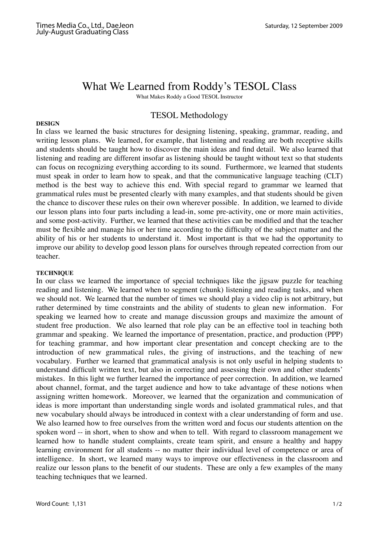# What We Learned from Roddy's TESOL Class

What Makes Roddy a Good TESOL Instructor

## TESOL Methodology

### **DESIGN**

In class we learned the basic structures for designing listening, speaking, grammar, reading, and writing lesson plans. We learned, for example, that listening and reading are both receptive skills and students should be taught how to discover the main ideas and find detail. We also learned that listening and reading are different insofar as listening should be taught without text so that students can focus on recognizing everything according to its sound. Furthermore, we learned that students must speak in order to learn how to speak, and that the communicative language teaching (CLT) method is the best way to achieve this end. With special regard to grammar we learned that grammatical rules must be presented clearly with many examples, and that students should be given the chance to discover these rules on their own wherever possible. In addition, we learned to divide our lesson plans into four parts including a lead-in, some pre-activity, one or more main activities, and some post-activity. Further, we learned that these activities can be modified and that the teacher must be flexible and manage his or her time according to the difficulty of the subject matter and the ability of his or her students to understand it. Most important is that we had the opportunity to improve our ability to develop good lesson plans for ourselves through repeated correction from our teacher.

## **TECHNIQUE**

In our class we learned the importance of special techniques like the jigsaw puzzle for teaching reading and listening. We learned when to segment (chunk) listening and reading tasks, and when we should not. We learned that the number of times we should play a video clip is not arbitrary, but rather determined by time constraints and the ability of students to glean new information. For speaking we learned how to create and manage discussion groups and maximize the amount of student free production. We also learned that role play can be an effective tool in teaching both grammar and speaking. We learned the importance of presentation, practice, and production (PPP) for teaching grammar, and how important clear presentation and concept checking are to the introduction of new grammatical rules, the giving of instructions, and the teaching of new vocabulary. Further we learned that grammatical analysis is not only useful in helping students to understand difficult written text, but also in correcting and assessing their own and other students' mistakes. In this light we further learned the importance of peer correction. In addition, we learned about channel, format, and the target audience and how to take advantage of these notions when assigning written homework. Moreover, we learned that the organization and communication of ideas is more important than understanding single words and isolated grammatical rules, and that new vocabulary should always be introduced in context with a clear understanding of form and use. We also learned how to free ourselves from the written word and focus our students attention on the spoken word -- in short, when to show and when to tell. With regard to classroom management we learned how to handle student complaints, create team spirit, and ensure a healthy and happy learning environment for all students -- no matter their individual level of competence or area of intelligence. In short, we learned many ways to improve our effectiveness in the classroom and realize our lesson plans to the benefit of our students. These are only a few examples of the many teaching techniques that we learned.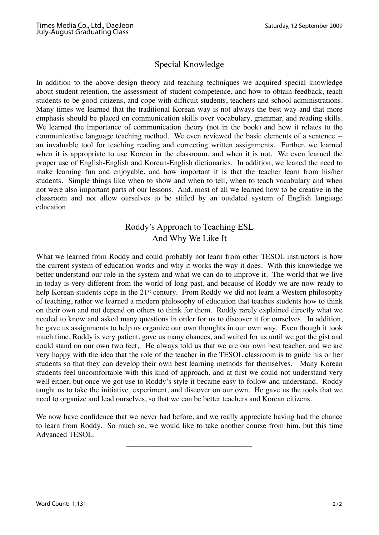# Special Knowledge

In addition to the above design theory and teaching techniques we acquired special knowledge about student retention, the assessment of student competence, and how to obtain feedback, teach students to be good citizens, and cope with difficult students, teachers and school administrations. Many times we learned that the traditional Korean way is not always the best way and that more emphasis should be placed on communication skills over vocabulary, grammar, and reading skills. We learned the importance of communication theory (not in the book) and how it relates to the communicative language teaching method. We even reviewed the basic elements of a sentence - an invaluable tool for teaching reading and correcting written assignments. Further, we learned when it is appropriate to use Korean in the classroom, and when it is not. We even learned the proper use of English-English and Korean-English dictionaries. In addition, we leaned the need to make learning fun and enjoyable, and how important it is that the teacher learn from his/her students. Simple things like when to show and when to tell, when to teach vocabulary and when not were also important parts of our lessons. And, most of all we learned how to be creative in the classroom and not allow ourselves to be stifled by an outdated system of English language education.

# Roddy's Approach to Teaching ESL And Why We Like It

What we learned from Roddy and could probably not learn from other TESOL instructors is how the current system of education works and why it works the way it does. With this knowledge we better understand our role in the system and what we can do to improve it. The world that we live in today is very different from the world of long past, and because of Roddy we are now ready to help Korean students cope in the 21<sup>st</sup> century. From Roddy we did not learn a Western philosophy of teaching, rather we learned a modern philosophy of education that teaches students how to think on their own and not depend on others to think for them. Roddy rarely explained directly what we needed to know and asked many questions in order for us to discover it for ourselves. In addition, he gave us assignments to help us organize our own thoughts in our own way. Even though it took much time, Roddy is very patient, gave us many chances, and waited for us until we got the gist and could stand on our own two feet,. He always told us that we are our own best teacher, and we are very happy with the idea that the role of the teacher in the TESOL classroom is to guide his or her students so that they can develop their own best learning methods for themselves. Many Korean students feel uncomfortable with this kind of approach, and at first we could not understand very well either, but once we got use to Roddy's style it became easy to follow and understand. Roddy taught us to take the initiative, experiment, and discover on our own. He gave us the tools that we need to organize and lead ourselves, so that we can be better teachers and Korean citizens.

We now have confidence that we never had before, and we really appreciate having had the chance to learn from Roddy. So much so, we would like to take another course from him, but this time Advanced TESOL.

\_\_\_\_\_\_\_\_\_\_\_\_\_\_\_\_\_\_\_\_\_\_\_\_\_\_\_\_\_\_\_\_\_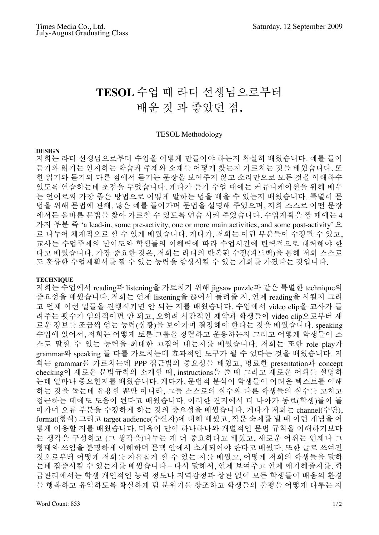# **TESOL** 수업 때 라디 선생님으로부터 배운 것 과 좋았던 점**.**

#### TESOL Methodology

#### **DESIGN**

저희는 라디 선생님으로부터 수업을 어떻게 만들어야 하는지 확실히 배웠습니다. 예를 들어 듣기와 읽기는 인지하는 학습과 주제와 소재를 어떻게 찾는지 가르치는 것을 배웠습니다. 또 한 읽기와 듣기의 다른 점에서 듣기는 문장을 보여주지 않고 소리만으로 모든 것을 이해하수 있도록 연습하는데 초점을 두었습니다. 게다가 듣기 수업 때에는 커뮤니케이션을 위해 배우 는 언어로써 가장 좋은 방법으로 어떻게 말하는 법을 배울 수 있는지 배웠습니다. 특별히 문 법을 위해 문법에 관해, 많은 예를 들어가며 문법을 설명해 주었으며, 저희 스스로 어떤 문장 에서든 올바른 문법을 찾아 가르칠 수 있도록 연습 시켜 주었습니다. 수업계획을 짤 때에는 4 가지 부분 즉 'a lead-in, some pre-activity, one or more main activities, and some post-activity' 으 로 나누어 체계적으로 할 수 있게 배웠습니다. 게다가, 저희는 이런 부분들이 수정될 수 있고, 교사는 수업주제의 난이도와 학생들의 이해력에 따라 수업시간에 탄력적으로 대처해야 한 다고 배웠습니다. 가장 중요한 것은, 저희는 라디의 반복된 수정(피드백)을 통해 저희 스스로 도 훌륭한 수업계획서를 짤 수 있는 능력을 향상시킬 수 있는 기회를 가졌다는 것입니다.

### **TECHNIQUE**

저희는 수업에서 reading과 listening을 가르치기 위해 jigsaw puzzle과 같은 특별한 technique의 중요성을 배웠습니다. 저희는 언제 listening을 끊어서 들려줄 지, 언제 reading을 시킬지 그리 고 언제 이런 일들을 진행시키면 안 되는 지를 배웠습니다. 수업에서 video clip을 교사가 들 려주는 횟수가 임의적이면 안 되고, 오히려 시간적인 제약과 학생들이 video clip으로부터 새 로운 정보를 조금씩 얻는 능력(상황)을 보아가며 결정해야 한다는 것을 배웠습니다. speaking 수업에 있어서, 저희는 어떻게 토론 그룹을 정렬하고 운용하는지 그리고 어떻게 학생들이 스 스로 말할 수 있는 능력을 최대한 끄집어 내는지를 배웠습니다. 저희는 또한 role play가 grammar와 speaking 둘 다를 가르치는데 효과적인 도구가 될 수 있다는 것을 배웠습니다. 저 희는 grammar를 가르치는데 PPP 접근법의 중요성을 배웠고, 명료한 presentation과 concept checking이 새로운 문법규칙의 소개할 때, instructions을 줄 때 그리고 새로운 어휘를 설명하 는데 얼마나 중요한지를 배웠습니다. 게다가, 문법적 분석이 학생들이 어려운 텍스트를 이해 하는 것을 돕는데 유용할 뿐만 아니라, 그들 스스로의 실수와 다른 학생들의 실수를 고치고 접근하는 데에도 도움이 된다고 배웠습니다. 이러한 견지에서 더 나아가 동료(학생)들이 돌 아가며 오류 부분을 수정하게 하는 것의 중요성을 배웠습니다. 게다가 저희는 channel(수단), format(형식) 그리고 target audience(수신자)에 대해 배웠고, 작문 숙제를 낼 때 이런 개념을 어 떻게 이용할 지를 배웠습니다. 더욱이 단어 하나하나와 개별적인 문법 규칙을 이해하기보다 는 생각을 구성하고 (그 생각을)나누는 게 더 중요하다고 배웠고, 새로운 어휘는 언제나 그 형태와 쓰임을 분명하게 이해하며 문맥 안에서 소개되어야 한다고 배웠다. 또한 글로 쓰여진 것으로부터 어떻게 저희를 자유롭게 할 수 있는 지를 배웠고, 어떻게 저희의 학생들을 말하 는데 집중시킬 수 있는지를 배웠습니다 – 다시 말해서, 언제 보여주고 언제 애기해줄지를. 학 급관리에서는 학생 개인적인 능력 정도나 지역감정과 상관 없이 모든 학생들이 배움의 환경 을 행복하고 유익하도록 확실하게 팀 분위기를 창조하고 학생들의 불평을 어떻게 다루는 지